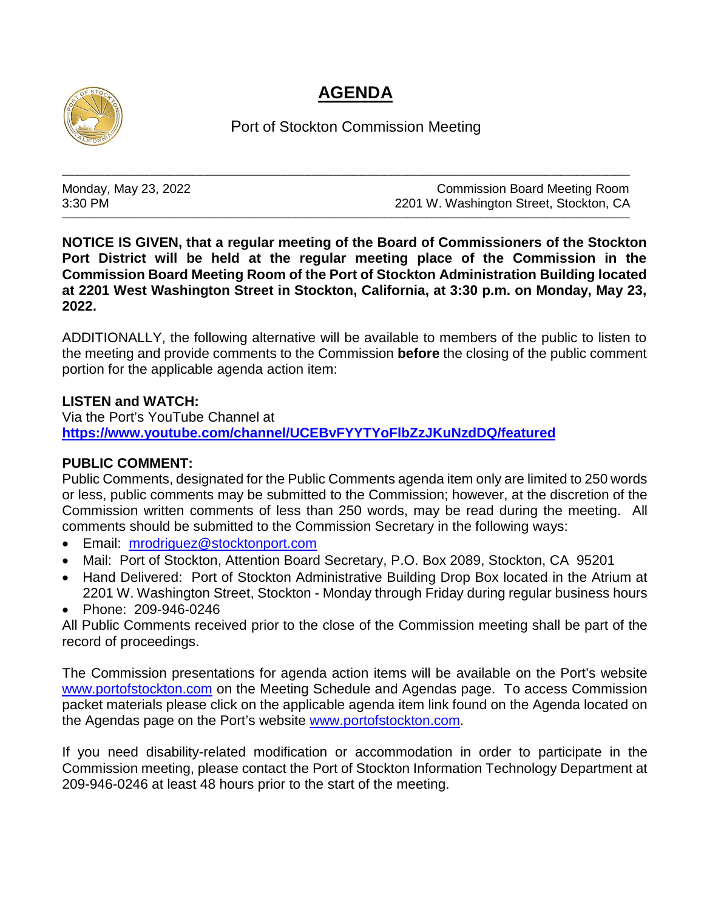## **AGENDA**



Port of Stockton Commission Meeting

\_\_\_\_\_\_\_\_\_\_\_\_\_\_\_\_\_\_\_\_\_\_\_\_\_\_\_\_\_\_\_\_\_\_\_\_\_\_\_\_\_\_\_\_\_\_\_\_\_\_\_\_\_\_\_\_\_\_\_\_\_\_\_\_\_\_\_\_\_\_\_\_\_\_

\_\_\_\_\_\_\_\_\_\_\_\_\_\_\_\_\_\_\_\_\_\_\_\_\_\_\_\_\_\_\_\_\_\_\_\_\_\_\_\_\_\_\_\_\_\_\_\_\_\_\_\_\_\_\_\_\_\_\_\_\_\_\_\_\_\_\_\_\_\_\_\_\_\_\_\_\_\_\_\_\_\_\_\_\_\_\_\_\_\_\_\_\_\_\_\_\_\_\_\_\_\_\_\_\_\_\_\_\_\_\_\_\_\_\_\_\_\_\_\_\_\_\_\_\_\_\_\_\_\_\_\_\_\_\_\_\_\_\_\_\_\_\_\_\_\_\_\_

Monday, May 23, 2022 **Monday, May 23, 2022** Commission Board Meeting Room 3:30 PM 2201 W. Washington Street, Stockton, CA

**NOTICE IS GIVEN, that a regular meeting of the Board of Commissioners of the Stockton Port District will be held at the regular meeting place of the Commission in the Commission Board Meeting Room of the Port of Stockton Administration Building located at 2201 West Washington Street in Stockton, California, at 3:30 p.m. on Monday, May 23, 2022.**

ADDITIONALLY, the following alternative will be available to members of the public to listen to the meeting and provide comments to the Commission **before** the closing of the public comment portion for the applicable agenda action item:

## **LISTEN and WATCH:**

Via the Port's YouTube Channel at **<https://www.youtube.com/channel/UCEBvFYYTYoFlbZzJKuNzdDQ/featured>**

## **PUBLIC COMMENT:**

Public Comments, designated for the Public Comments agenda item only are limited to 250 words or less, public comments may be submitted to the Commission; however, at the discretion of the Commission written comments of less than 250 words, may be read during the meeting. All comments should be submitted to the Commission Secretary in the following ways:

- Email: [mrodriguez@stocktonport.com](mailto:mrodriguez@stocktonport.com)
- Mail: Port of Stockton, Attention Board Secretary, P.O. Box 2089, Stockton, CA 95201
- Hand Delivered: Port of Stockton Administrative Building Drop Box located in the Atrium at 2201 W. Washington Street, Stockton - Monday through Friday during regular business hours
- Phone: 209-946-0246

All Public Comments received prior to the close of the Commission meeting shall be part of the record of proceedings.

The Commission presentations for agenda action items will be available on the Port's website [www.portofstockton.com](http://www.portofstockton.com/) on the Meeting Schedule and Agendas page. To access Commission packet materials please click on the applicable agenda item link found on the Agenda located on the Agendas page on the Port's website [www.portofstockton.com.](http://www.portofstockton.com/)

If you need disability-related modification or accommodation in order to participate in the Commission meeting, please contact the Port of Stockton Information Technology Department at 209-946-0246 at least 48 hours prior to the start of the meeting.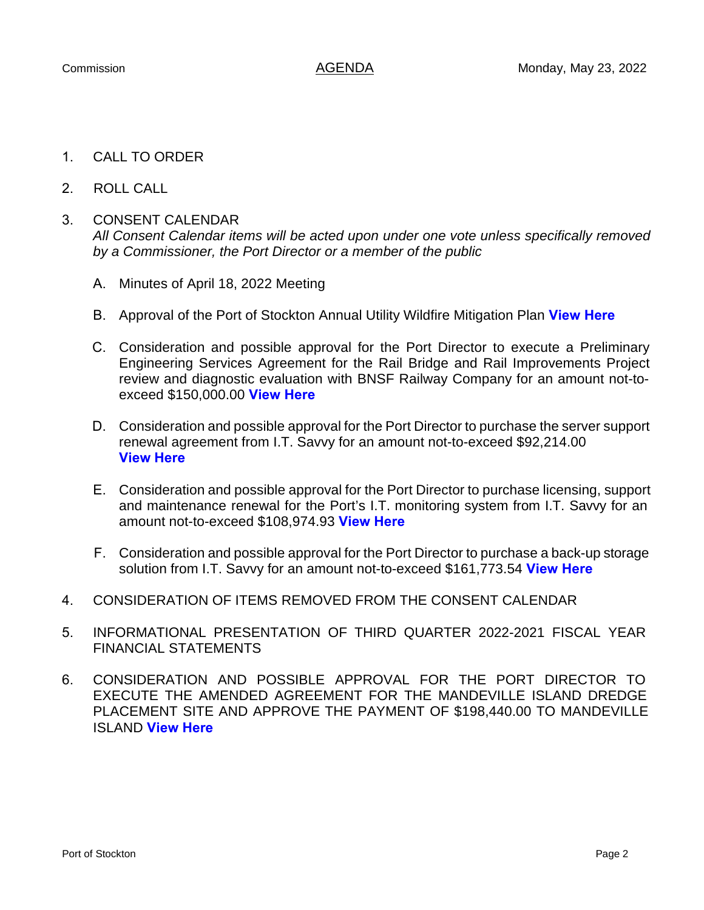- 1. CALL TO ORDER
- 2. ROLL CALL

## 3. CONSENT CALENDAR

*All Consent Calendar items will be acted upon under one vote unless specifically removed by a Commissioner, the Port Director or a member of the public*

- A. Minutes of April 18, 2022 Meeting
- B. Approval of the Port of Stockton Annual Utility Wildfire Mitigation Plan **[View Here](https://www.portofstockton.com/wp-content/uploads/2022/05/ConsentItemB.pdf)**
- C. Consideration and possible approval for the Port Director to execute a Preliminary Engineering Services Agreement for the Rail Bridge and Rail Improvements Project review and diagnostic evaluation with BNSF Railway Company for an amount not-toexceed \$150,000.00 **[View Here](https://www.portofstockton.com/wp-content/uploads/2022/05/ConsentItemC.pdf)**
- D. Consideration and possible approval for the Port Director to purchase the server support renewal agreement from I.T. Savvy for an amount not-to-exceed \$92,214.00 **[View Here](https://www.portofstockton.com/wp-content/uploads/2022/05/ConsentItemD.pdf)**
- E. Consideration and possible approval for the Port Director to purchase licensing, support and maintenance renewal for the Port's I.T. monitoring system from I.T. Savvy for an amount not-to-exceed \$108,974.93 **[View Here](https://www.portofstockton.com/wp-content/uploads/2022/05/ConsentItemE.pdf)**
- F. Consideration and possible approval for the Port Director to purchase a back-up storage solution from I.T. Savvy for an amount not-to-exceed \$161,773.54 **[View Here](https://www.portofstockton.com/wp-content/uploads/2022/05/ConsentItemF.pdf)**
- 4. CONSIDERATION OF ITEMS REMOVED FROM THE CONSENT CALENDAR
- 5. INFORMATIONAL PRESENTATION OF THIRD QUARTER 2022-2021 FISCAL YEAR FINANCIAL STATEMENTS
- 6. CONSIDERATION AND POSSIBLE APPROVAL FOR THE PORT DIRECTOR TO EXECUTE THE AMENDED AGREEMENT FOR THE MANDEVILLE ISLAND DREDGE PLACEMENT SITE AND APPROVE THE PAYMENT OF \$198,440.00 TO MANDEVILLE ISLAND **[View Here](https://www.portofstockton.com/wp-content/uploads/2022/05/AgendaItem6.pdf)**